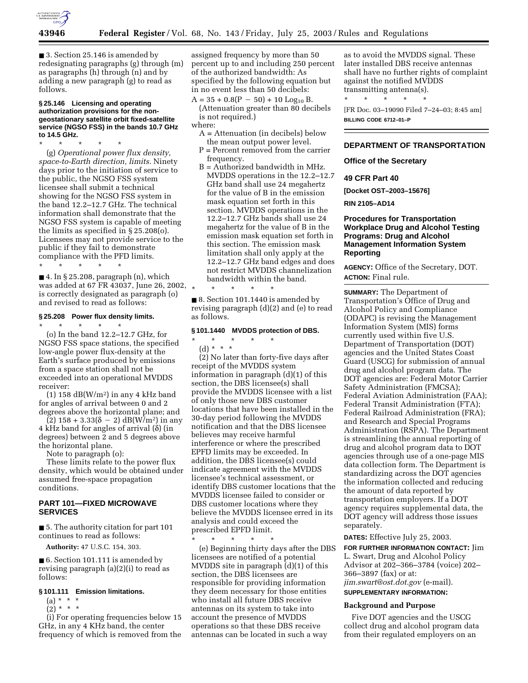

■ 3. Section 25.146 is amended by redesignating paragraphs (g) through (m) as paragraphs (h) through (n) and by adding a new paragraph (g) to read as follows.

#### **§ 25.146 Licensing and operating authorization provisions for the nongeostationary satellite orbit fixed-satellite service (NGSO FSS) in the bands 10.7 GHz to 14.5 GHz.**

\* \* \* \* \* (g) *Operational power flux density, space-to-Earth direction, limits.* Ninety days prior to the initiation of service to the public, the NGSO FSS system licensee shall submit a technical showing for the NGSO FSS system in the band 12.2–12.7 GHz. The technical information shall demonstrate that the NGSO FSS system is capable of meeting the limits as specified in § 25.208(o). Licensees may not provide service to the public if they fail to demonstrate compliance with the PFD limits.

\* \* \* \* \*

■ 4. In § 25.208, paragraph (n), which was added at 67 FR 43037, June 26, 2002, is correctly designated as paragraph (o) and revised to read as follows:

### **§ 25.208 Power flux density limits.**

\* \* \* \* \* (o) In the band 12.2–12.7 GHz, for NGSO FSS space stations, the specified low-angle power flux-density at the Earth's surface produced by emissions from a space station shall not be exceeded into an operational MVDDS receiver:

(1) 158  $dB(W/m^2)$  in any 4 kHz band for angles of arrival between 0 and 2 degrees above the horizontal plane; and

 $(2)$  158 + 3.33 $(\delta - 2)$  dB(W/m<sup>2</sup>) in any  $4$  kHz band for angles of arrival ( $\delta$ ) (in degrees) between 2 and 5 degrees above the horizontal plane.

Note to paragraph (o):

These limits relate to the power flux density, which would be obtained under assumed free-space propagation conditions.

# **PART 101—FIXED MICROWAVE SERVICES**

■ 5. The authority citation for part 101 continues to read as follows:

**Authority:** 47 U.S.C. 154, 303.

■ 6. Section 101.111 is amended by revising paragraph (a)(2)(i) to read as follows:

### **§ 101.111 Emission limitations.**

- $(a) * * * *$
- $(2) * * * *$

(i) For operating frequencies below 15 GHz, in any 4 KHz band, the center frequency of which is removed from the assigned frequency by more than 50 percent up to and including 250 percent of the authorized bandwidth: As specified by the following equation but in no event less than 50 decibels:

 $A = 35 + 0.8(P - 50) + 10$  Log<sub>10</sub> B. (Attenuation greater than 80 decibels is not required.) where:

- A = Attenuation (in decibels) below the mean output power level.
- P = Percent removed from the carrier frequency.
- B = Authorized bandwidth in MHz. MVDDS operations in the 12.2–12.7 GHz band shall use 24 megahertz for the value of B in the emission mask equation set forth in this section. MVDDS operations in the 12.2–12.7 GHz bands shall use 24 megahertz for the value of B in the emission mask equation set forth in this section. The emission mask limitation shall only apply at the 12.2–12.7 GHz band edges and does not restrict MVDDS channelization bandwidth within the band.

■ 8. Section 101.1440 is amended by revising paragraph (d)(2) and (e) to read as follows.

# **§ 101.1440 MVDDS protection of DBS.**

# (d) \* \* \*

\* \* \* \* \*

\* \* \* \* \*

(2) No later than forty-five days after receipt of the MVDDS system information in paragraph (d)(1) of this section, the DBS licensee(s) shall provide the MVDDS licensee with a list of only those new DBS customer locations that have been installed in the 30-day period following the MVDDS notification and that the DBS licensee believes may receive harmful interference or where the prescribed EPFD limits may be exceeded. In addition, the DBS licensee(s) could indicate agreement with the MVDDS licensee's technical assessment, or identify DBS customer locations that the MVDDS licensee failed to consider or DBS customer locations where they believe the MVDDS licensee erred in its analysis and could exceed the prescribed EPFD limit.

\* \* \* \* \* (e) Beginning thirty days after the DBS licensees are notified of a potential MVDDS site in paragraph (d)(1) of this section, the DBS licensees are responsible for providing information they deem necessary for those entities who install all future DBS receive antennas on its system to take into account the presence of MVDDS operations so that these DBS receive antennas can be located in such a way

as to avoid the MVDDS signal. These later installed DBS receive antennas shall have no further rights of complaint against the notified MVDDS transmitting antenna(s). \* \* \* \* \*

[FR Doc. 03–19090 Filed 7–24–03; 8:45 am] **BILLING CODE 6712–01–P**

### **DEPARTMENT OF TRANSPORTATION**

#### **Office of the Secretary**

### **49 CFR Part 40**

**[Docket OST–2003–15676]** 

**RIN 2105–AD14** 

## **Procedures for Transportation Workplace Drug and Alcohol Testing Programs: Drug and Alcohol Management Information System Reporting**

**AGENCY:** Office of the Secretary, DOT. **ACTION:** Final rule.

**SUMMARY:** The Department of Transportation's Office of Drug and Alcohol Policy and Compliance (ODAPC) is revising the Management Information System (MIS) forms currently used within five U.S. Department of Transportation (DOT) agencies and the United States Coast Guard (USCG) for submission of annual drug and alcohol program data. The DOT agencies are: Federal Motor Carrier Safety Administration (FMCSA); Federal Aviation Administration (FAA); Federal Transit Administration (FTA); Federal Railroad Administration (FRA); and Research and Special Programs Administration (RSPA). The Department is streamlining the annual reporting of drug and alcohol program data to DOT agencies through use of a one-page MIS data collection form. The Department is standardizing across the DOT agencies the information collected and reducing the amount of data reported by transportation employers. If a DOT agency requires supplemental data, the DOT agency will address those issues separately.

**DATES:** Effective July 25, 2003.

**FOR FURTHER INFORMATION CONTACT:** Jim L. Swart, Drug and Alcohol Policy Advisor at 202–366–3784 (voice) 202– 366–3897 (fax) or at: *jim.swart@ost.dot.gov* (e-mail).

#### **SUPPLEMENTARY INFORMATION:**

#### **Background and Purpose**

Five DOT agencies and the USCG collect drug and alcohol program data from their regulated employers on an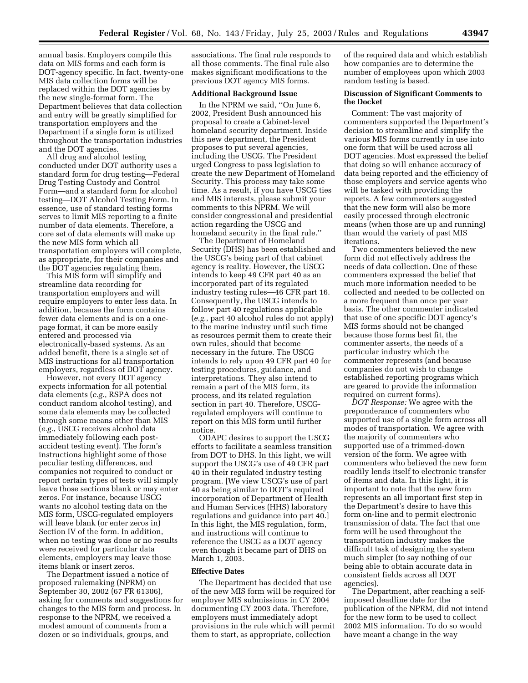annual basis. Employers compile this data on MIS forms and each form is DOT-agency specific. In fact, twenty-one MIS data collection forms will be replaced within the DOT agencies by the new single-format form. The Department believes that data collection and entry will be greatly simplified for transportation employers and the Department if a single form is utilized throughout the transportation industries and the DOT agencies.

All drug and alcohol testing conducted under DOT authority uses a standard form for drug testing—Federal Drug Testing Custody and Control Form—and a standard form for alcohol testing—DOT Alcohol Testing Form. In essence, use of standard testing forms serves to limit MIS reporting to a finite number of data elements. Therefore, a core set of data elements will make up the new MIS form which all transportation employers will complete, as appropriate, for their companies and the DOT agencies regulating them.

This MIS form will simplify and streamline data recording for transportation employers and will require employers to enter less data. In addition, because the form contains fewer data elements and is on a onepage format, it can be more easily entered and processed via electronically-based systems. As an added benefit, there is a single set of MIS instructions for all transportation employers, regardless of DOT agency.

However, not every DOT agency expects information for all potential data elements (*e.g.*, RSPA does not conduct random alcohol testing), and some data elements may be collected through some means other than MIS (*e.g.*, USCG receives alcohol data immediately following each postaccident testing event). The form's instructions highlight some of those peculiar testing differences, and companies not required to conduct or report certain types of tests will simply leave those sections blank or may enter zeros. For instance, because USCG wants no alcohol testing data on the MIS form, USCG-regulated employers will leave blank (or enter zeros in) Section IV of the form. In addition, when no testing was done or no results were received for particular data elements, employers may leave those items blank or insert zeros.

The Department issued a notice of proposed rulemaking (NPRM) on September 30, 2002 (67 FR 61306), asking for comments and suggestions for changes to the MIS form and process. In response to the NPRM, we received a modest amount of comments from a dozen or so individuals, groups, and

associations. The final rule responds to all those comments. The final rule also makes significant modifications to the previous DOT agency MIS forms.

#### **Additional Background Issue**

In the NPRM we said, ''On June 6, 2002, President Bush announced his proposal to create a Cabinet-level homeland security department. Inside this new department, the President proposes to put several agencies, including the USCG. The President urged Congress to pass legislation to create the new Department of Homeland Security. This process may take some time. As a result, if you have USCG ties and MIS interests, please submit your comments to this NPRM. We will consider congressional and presidential action regarding the USCG and homeland security in the final rule.''

The Department of Homeland Security (DHS) has been established and the USCG's being part of that cabinet agency is reality. However, the USCG intends to keep 49 CFR part 40 as an incorporated part of its regulated industry testing rules—46 CFR part 16. Consequently, the USCG intends to follow part 40 regulations applicable (*e.g.*, part 40 alcohol rules do not apply) to the marine industry until such time as resources permit them to create their own rules, should that become necessary in the future. The USCG intends to rely upon 49 CFR part 40 for testing procedures, guidance, and interpretations. They also intend to remain a part of the MIS form, its process, and its related regulation section in part 40. Therefore, USCGregulated employers will continue to report on this MIS form until further notice.

ODAPC desires to support the USCG efforts to facilitate a seamless transition from DOT to DHS. In this light, we will support the USCG's use of 49 CFR part 40 in their regulated industry testing program. [We view USCG's use of part 40 as being similar to DOT's required incorporation of Department of Health and Human Services (HHS) laboratory regulations and guidance into part 40.] In this light, the MIS regulation, form, and instructions will continue to reference the USCG as a DOT agency even though it became part of DHS on March 1, 2003.

#### **Effective Dates**

The Department has decided that use of the new MIS form will be required for employer MIS submissions in CY 2004 documenting CY 2003 data. Therefore, employers must immediately adopt provisions in the rule which will permit them to start, as appropriate, collection

of the required data and which establish how companies are to determine the number of employees upon which 2003 random testing is based.

## **Discussion of Significant Comments to the Docket**

Comment: The vast majority of commenters supported the Department's decision to streamline and simplify the various MIS forms currently in use into one form that will be used across all DOT agencies. Most expressed the belief that doing so will enhance accuracy of data being reported and the efficiency of those employers and service agents who will be tasked with providing the reports. A few commenters suggested that the new form will also be more easily processed through electronic means (when those are up and running) than would the variety of past MIS iterations.

Two commenters believed the new form did not effectively address the needs of data collection. One of these commenters expressed the belief that much more information needed to be collected and needed to be collected on a more frequent than once per year basis. The other commenter indicated that use of one specific DOT agency's MIS forms should not be changed because those forms best fit, the commenter asserts, the needs of a particular industry which the commenter represents (and because companies do not wish to change established reporting programs which are geared to provide the information required on current forms).

*DOT Response:* We agree with the preponderance of commenters who supported use of a single form across all modes of transportation. We agree with the majority of commenters who supported use of a trimmed-down version of the form. We agree with commenters who believed the new form readily lends itself to electronic transfer of items and data. In this light, it is important to note that the new form represents an all important first step in the Department's desire to have this form on-line and to permit electronic transmission of data. The fact that one form will be used throughout the transportation industry makes the difficult task of designing the system much simpler (to say nothing of our being able to obtain accurate data in consistent fields across all DOT agencies).

The Department, after reaching a selfimposed deadline date for the publication of the NPRM, did not intend for the new form to be used to collect 2002 MIS information. To do so would have meant a change in the way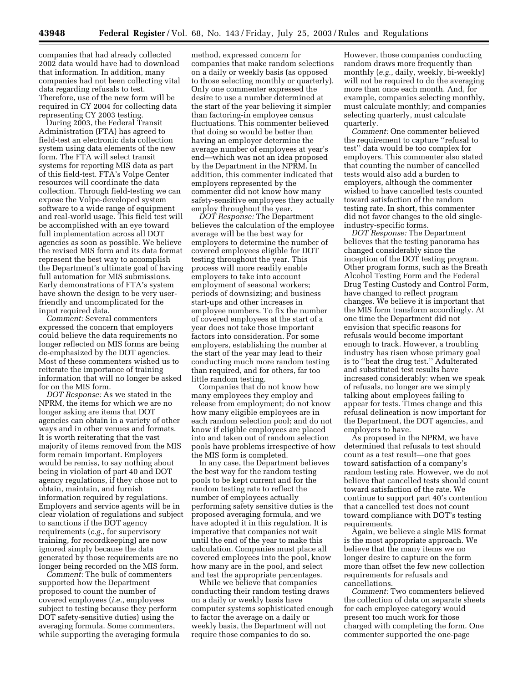companies that had already collected 2002 data would have had to download that information. In addition, many companies had not been collecting vital data regarding refusals to test. Therefore, use of the new form will be required in CY 2004 for collecting data representing CY 2003 testing.

During 2003, the Federal Transit Administration (FTA) has agreed to field-test an electronic data collection system using data elements of the new form. The FTA will select transit systems for reporting MIS data as part of this field-test. FTA's Volpe Center resources will coordinate the data collection. Through field-testing we can expose the Volpe-developed system software to a wide range of equipment and real-world usage. This field test will be accomplished with an eye toward full implementation across all DOT agencies as soon as possible. We believe the revised MIS form and its data format represent the best way to accomplish the Department's ultimate goal of having full automation for MIS submissions. Early demonstrations of FTA's system have shown the design to be very userfriendly and uncomplicated for the input required data.

*Comment:* Several commenters expressed the concern that employers could believe the data requirements no longer reflected on MIS forms are being de-emphasized by the DOT agencies. Most of these commenters wished us to reiterate the importance of training information that will no longer be asked for on the MIS form.

*DOT Response:* As we stated in the NPRM, the items for which we are no longer asking are items that DOT agencies can obtain in a variety of other ways and in other venues and formats. It is worth reiterating that the vast majority of items removed from the MIS form remain important. Employers would be remiss, to say nothing about being in violation of part 40 and DOT agency regulations, if they chose not to obtain, maintain, and furnish information required by regulations. Employers and service agents will be in clear violation of regulations and subject to sanctions if the DOT agency requirements (*e.g.*, for supervisory training, for recordkeeping) are now ignored simply because the data generated by those requirements are no longer being recorded on the MIS form.

*Comment:* The bulk of commenters supported how the Department proposed to count the number of covered employees (*i.e.*, employees subject to testing because they perform DOT safety-sensitive duties) using the averaging formula. Some commenters, while supporting the averaging formula method, expressed concern for companies that make random selections on a daily or weekly basis (as opposed to those selecting monthly or quarterly). Only one commenter expressed the desire to use a number determined at the start of the year believing it simpler than factoring-in employee census fluctuations. This commenter believed that doing so would be better than having an employer determine the average number of employees at year's end—which was not an idea proposed by the Department in the NPRM. In addition, this commenter indicated that employers represented by the commenter did not know how many safety-sensitive employees they actually employ throughout the year.

*DOT Response:* The Department believes the calculation of the employee average will be the best way for employers to determine the number of covered employees eligible for DOT testing throughout the year. This process will more readily enable employers to take into account employment of seasonal workers; periods of downsizing; and business start-ups and other increases in employee numbers. To fix the number of covered employees at the start of a year does not take those important factors into consideration. For some employers, establishing the number at the start of the year may lead to their conducting much more random testing than required, and for others, far too little random testing.

Companies that do not know how many employees they employ and release from employment; do not know how many eligible employees are in each random selection pool; and do not know if eligible employees are placed into and taken out of random selection pools have problems irrespective of how the MIS form is completed.

In any case, the Department believes the best way for the random testing pools to be kept current and for the random testing rate to reflect the number of employees actually performing safety sensitive duties is the proposed averaging formula, and we have adopted it in this regulation. It is imperative that companies not wait until the end of the year to make this calculation. Companies must place all covered employees into the pool, know how many are in the pool, and select and test the appropriate percentages.

While we believe that companies conducting their random testing draws on a daily or weekly basis have computer systems sophisticated enough to factor the average on a daily or weekly basis, the Department will not require those companies to do so.

However, those companies conducting random draws more frequently than monthly (*e.g.*, daily, weekly, bi-weekly) will not be required to do the averaging more than once each month. And, for example, companies selecting monthly, must calculate monthly; and companies selecting quarterly, must calculate quarterly.

*Comment:* One commenter believed the requirement to capture ''refusal to test'' data would be too complex for employers. This commenter also stated that counting the number of cancelled tests would also add a burden to employers, although the commenter wished to have cancelled tests counted toward satisfaction of the random testing rate. In short, this commenter did not favor changes to the old singleindustry-specific forms.

*DOT Response:* The Department believes that the testing panorama has changed considerably since the inception of the DOT testing program. Other program forms, such as the Breath Alcohol Testing Form and the Federal Drug Testing Custody and Control Form, have changed to reflect program changes. We believe it is important that the MIS form transform accordingly. At one time the Department did not envision that specific reasons for refusals would become important enough to track. However, a troubling industry has risen whose primary goal is to ''beat the drug test.'' Adulterated and substituted test results have increased considerably: when we speak of refusals, no longer are we simply talking about employees failing to appear for tests. Times change and this refusal delineation is now important for the Department, the DOT agencies, and employers to have.

As proposed in the NPRM, we have determined that refusals to test should count as a test result—one that goes toward satisfaction of a company's random testing rate. However, we do not believe that cancelled tests should count toward satisfaction of the rate. We continue to support part 40's contention that a cancelled test does not count toward compliance with DOT's testing requirements.

Again, we believe a single MIS format is the most appropriate approach. We believe that the many items we no longer desire to capture on the form more than offset the few new collection requirements for refusals and cancellations.

*Comment:* Two commenters believed the collection of data on separate sheets for each employee category would present too much work for those charged with completing the form. One commenter supported the one-page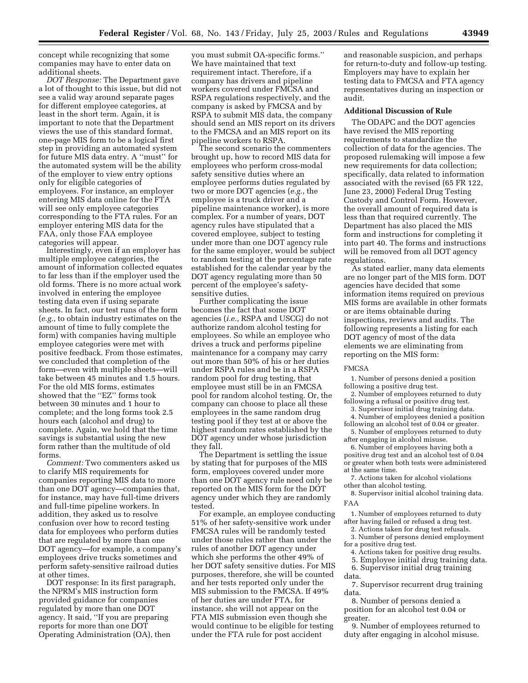concept while recognizing that some companies may have to enter data on additional sheets.

*DOT Response:* The Department gave a lot of thought to this issue, but did not see a valid way around separate pages for different employee categories, at least in the short term. Again, it is important to note that the Department views the use of this standard format, one-page MIS form to be a logical first step in providing an automated system for future MIS data entry. A ''must'' for the automated system will be the ability of the employer to view entry options only for eligible categories of employees. For instance, an employer entering MIS data online for the FTA will see only employee categories corresponding to the FTA rules. For an employer entering MIS data for the FAA, only those FAA employee categories will appear.

Interestingly, even if an employer has multiple employee categories, the amount of information collected equates to far less than if the employer used the old forms. There is no more actual work involved in entering the employee testing data even if using separate sheets. In fact, our test runs of the form (*e.g.*, to obtain industry estimates on the amount of time to fully complete the form) with companies having multiple employee categories were met with positive feedback. From those estimates, we concluded that completion of the form—even with multiple sheets—will take between 45 minutes and 1.5 hours. For the old MIS forms, estimates showed that the ''EZ'' forms took between 30 minutes and 1 hour to complete; and the long forms took 2.5 hours each (alcohol and drug) to complete. Again, we hold that the time savings is substantial using the new form rather than the multitude of old forms.

*Comment:* Two commenters asked us to clarify MIS requirements for companies reporting MIS data to more than one DOT agency—companies that, for instance, may have full-time drivers and full-time pipeline workers. In addition, they asked us to resolve confusion over how to record testing data for employees who perform duties that are regulated by more than one DOT agency—for example, a company's employees drive trucks sometimes and perform safety-sensitive railroad duties at other times.

DOT response: In its first paragraph, the NPRM's MIS instruction form provided guidance for companies regulated by more than one DOT agency. It said, ''If you are preparing reports for more than one DOT Operating Administration (OA), then

you must submit OA-specific forms.'' We have maintained that text requirement intact. Therefore, if a company has drivers and pipeline workers covered under FMCSA and RSPA regulations respectively, and the company is asked by FMCSA and by RSPA to submit MIS data, the company should send an MIS report on its drivers to the FMCSA and an MIS report on its pipeline workers to RSPA.

The second scenario the commenters brought up, how to record MIS data for employees who perform cross-modal safety sensitive duties where an employee performs duties regulated by two or more DOT agencies (*e.g.*, the employee is a truck driver and a pipeline maintenance worker), is more complex. For a number of years, DOT agency rules have stipulated that a covered employee, subject to testing under more than one DOT agency rule for the same employer, would be subject to random testing at the percentage rate established for the calendar year by the DOT agency regulating more than 50 percent of the employee's safetysensitive duties.

Further complicating the issue becomes the fact that some DOT agencies (*i.e.*, RSPA and USCG) do not authorize random alcohol testing for employees. So while an employee who drives a truck and performs pipeline maintenance for a company may carry out more than 50% of his or her duties under RSPA rules and be in a RSPA random pool for drug testing, that employee must still be in an FMCSA pool for random alcohol testing. Or, the company can choose to place all these employees in the same random drug testing pool if they test at or above the highest random rates established by the DOT agency under whose jurisdiction they fall.

The Department is settling the issue by stating that for purposes of the MIS form, employees covered under more than one DOT agency rule need only be reported on the MIS form for the DOT agency under which they are randomly tested.

For example, an employee conducting 51% of her safety-sensitive work under FMCSA rules will be randomly tested under those rules rather than under the rules of another DOT agency under which she performs the other 49% of her DOT safety sensitive duties. For MIS purposes, therefore, she will be counted and her tests reported only under the MIS submission to the FMCSA. If 49% of her duties are under FTA, for instance, she will not appear on the FTA MIS submission even though she would continue to be eligible for testing under the FTA rule for post accident

and reasonable suspicion, and perhaps for return-to-duty and follow-up testing. Employers may have to explain her testing data to FMCSA and FTA agency representatives during an inspection or audit.

#### **Additional Discussion of Rule**

The ODAPC and the DOT agencies have revised the MIS reporting requirements to standardize the collection of data for the agencies. The proposed rulemaking will impose a few new requirements for data collection; specifically, data related to information associated with the revised (65 FR 122, June 23, 2000) Federal Drug Testing Custody and Control Form. However, the overall amount of required data is less than that required currently. The Department has also placed the MIS form and instructions for completing it into part 40. The forms and instructions will be removed from all DOT agency regulations.

As stated earlier, many data elements are no longer part of the MIS form. DOT agencies have decided that some information items required on previous MIS forms are available in other formats or are items obtainable during inspections, reviews and audits. The following represents a listing for each DOT agency of most of the data elements we are eliminating from reporting on the MIS form:

#### FMCSA

1. Number of persons denied a position following a positive drug test.

2. Number of employees returned to duty following a refusal or positive drug test. 3. Supervisor initial drug training data.

4. Number of employees denied a position following an alcohol test of 0.04 or greater.

5. Number of employees returned to duty after engaging in alcohol misuse.

6. Number of employees having both a positive drug test and an alcohol test of 0.04 or greater when both tests were administered at the same time.

7. Actions taken for alcohol violations other than alcohol testing.

8. Supervisor initial alcohol training data. FAA

1. Number of employees returned to duty after having failed or refused a drug test.

2. Actions taken for drug test refusals.

3. Number of persons denied employment for a positive drug test.

4. Actions taken for positive drug results.

5. Employee initial drug training data.

6. Supervisor initial drug training data.

7. Supervisor recurrent drug training data.

8. Number of persons denied a position for an alcohol test 0.04 or greater.

9. Number of employees returned to duty after engaging in alcohol misuse.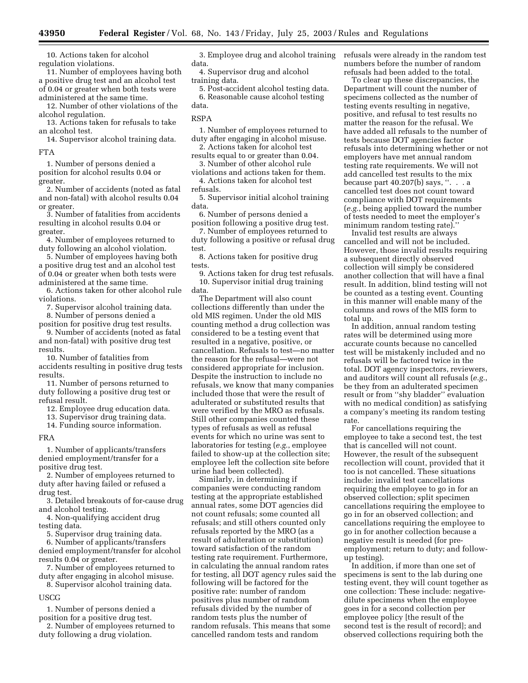10. Actions taken for alcohol regulation violations.

11. Number of employees having both a positive drug test and an alcohol test of 0.04 or greater when both tests were administered at the same time.

12. Number of other violations of the alcohol regulation.

13. Actions taken for refusals to take an alcohol test.

14. Supervisor alcohol training data.

FTA

1. Number of persons denied a position for alcohol results 0.04 or greater.

2. Number of accidents (noted as fatal and non-fatal) with alcohol results 0.04 or greater.

3. Number of fatalities from accidents resulting in alcohol results 0.04 or greater.

4. Number of employees returned to duty following an alcohol violation.

5. Number of employees having both a positive drug test and an alcohol test of 0.04 or greater when both tests were administered at the same time.

6. Actions taken for other alcohol rule violations.

7. Supervisor alcohol training data. 8. Number of persons denied a

position for positive drug test results. 9. Number of accidents (noted as fatal

and non-fatal) with positive drug test results.

10. Number of fatalities from accidents resulting in positive drug tests results.

11. Number of persons returned to duty following a positive drug test or refusal result.

12. Employee drug education data.

13. Supervisor drug training data.

14. Funding source information.

FRA

1. Number of applicants/transfers denied employment/transfer for a positive drug test.

2. Number of employees returned to duty after having failed or refused a drug test.

3. Detailed breakouts of for-cause drug and alcohol testing.

4. Non-qualifying accident drug testing data.

5. Supervisor drug training data.

6. Number of applicants/transfers denied employment/transfer for alcohol results 0.04 or greater.

7. Number of employees returned to duty after engaging in alcohol misuse.

8. Supervisor alcohol training data.

USCG

1. Number of persons denied a position for a positive drug test.

2. Number of employees returned to duty following a drug violation.

3. Employee drug and alcohol training data.

4. Supervisor drug and alcohol training data.

5. Post-accident alcohol testing data. 6. Reasonable cause alcohol testing data.

RSPA

1. Number of employees returned to duty after engaging in alcohol misuse.

2. Actions taken for alcohol test results equal to or greater than 0.04.

3. Number of other alcohol rule

violations and actions taken for them. 4. Actions taken for alcohol test refusals.

5. Supervisor initial alcohol training data.

6. Number of persons denied a position following a positive drug test.

7. Number of employees returned to duty following a positive or refusal drug test.

8. Actions taken for positive drug tests.

9. Actions taken for drug test refusals. 10. Supervisor initial drug training data.

The Department will also count collections differently than under the old MIS regimen. Under the old MIS counting method a drug collection was considered to be a testing event that resulted in a negative, positive, or cancellation. Refusals to test—no matter the reason for the refusal—were not considered appropriate for inclusion. Despite the instruction to include no refusals, we know that many companies included those that were the result of adulterated or substituted results that were verified by the MRO as refusals. Still other companies counted these types of refusals as well as refusal events for which no urine was sent to laboratories for testing (*e.g.*, employee failed to show-up at the collection site; employee left the collection site before urine had been collected).

Similarly, in determining if companies were conducting random testing at the appropriate established annual rates, some DOT agencies did not count refusals; some counted all refusals; and still others counted only refusals reported by the MRO (as a result of adulteration or substitution) toward satisfaction of the random testing rate requirement. Furthermore, in calculating the annual random rates for testing, all DOT agency rules said the following will be factored for the positive rate: number of random positives plus number of random refusals divided by the number of random tests plus the number of random refusals. This means that some cancelled random tests and random

refusals were already in the random test numbers before the number of random refusals had been added to the total.

To clear up these discrepancies, the Department will count the number of specimens collected as the number of testing events resulting in negative, positive, and refusal to test results no matter the reason for the refusal. We have added all refusals to the number of tests because DOT agencies factor refusals into determining whether or not employers have met annual random testing rate requirements. We will not add cancelled test results to the mix because part  $40.207(b)$  says, ". . . a cancelled test does not count toward compliance with DOT requirements (*e.g.*, being applied toward the number of tests needed to meet the employer's minimum random testing rate).''

Invalid test results are always cancelled and will not be included. However, those invalid results requiring a subsequent directly observed collection will simply be considered another collection that will have a final result. In addition, blind testing will not be counted as a testing event. Counting in this manner will enable many of the columns and rows of the MIS form to total up.

In addition, annual random testing rates will be determined using more accurate counts because no cancelled test will be mistakenly included and no refusals will be factored twice in the total. DOT agency inspectors, reviewers, and auditors will count all refusals (*e.g.*, be they from an adulterated specimen result or from ''shy bladder'' evaluation with no medical condition) as satisfying a company's meeting its random testing rate.

For cancellations requiring the employee to take a second test, the test that is cancelled will not count. However, the result of the subsequent recollection will count, provided that it too is not cancelled. These situations include: invalid test cancellations requiring the employee to go in for an observed collection; split specimen cancellations requiring the employee to go in for an observed collection; and cancellations requiring the employee to go in for another collection because a negative result is needed (for preemployment; return to duty; and followup testing).

In addition, if more than one set of specimens is sent to the lab during one testing event, they will count together as one collection: These include: negativedilute specimens when the employee goes in for a second collection per employee policy [the result of the second test is the result of record]; and observed collections requiring both the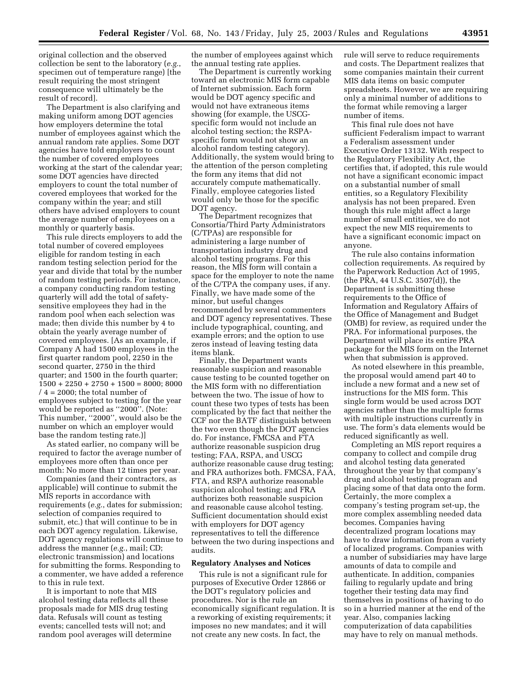original collection and the observed collection be sent to the laboratory (*e.g.*, specimen out of temperature range) [the result requiring the most stringent consequence will ultimately be the result of record].

The Department is also clarifying and making uniform among DOT agencies how employers determine the total number of employees against which the annual random rate applies. Some DOT agencies have told employers to count the number of covered employees working at the start of the calendar year; some DOT agencies have directed employers to count the total number of covered employees that worked for the company within the year; and still others have advised employers to count the average number of employees on a monthly or quarterly basis.

This rule directs employers to add the total number of covered employees eligible for random testing in each random testing selection period for the year and divide that total by the number of random testing periods. For instance, a company conducting random testing quarterly will add the total of safetysensitive employees they had in the random pool when each selection was made; then divide this number by 4 to obtain the yearly average number of covered employees. [As an example, if Company A had 1500 employees in the first quarter random pool, 2250 in the second quarter, 2750 in the third quarter; and 1500 in the fourth quarter;  $1500 + 2250 + 2750 + 1500 = 8000$ ; 8000  $/4 = 2000$ ; the total number of employees subject to testing for the year would be reported as ''2000''. (Note: This number, ''2000'', would also be the number on which an employer would base the random testing rate.)]

As stated earlier, no company will be required to factor the average number of employees more often than once per month: No more than 12 times per year.

Companies (and their contractors, as applicable) will continue to submit the MIS reports in accordance with requirements (*e.g.*, dates for submission; selection of companies required to submit, etc.) that will continue to be in each DOT agency regulation. Likewise, DOT agency regulations will continue to address the manner (*e.g.*, mail; CD; electronic transmission) and locations for submitting the forms. Responding to a commenter, we have added a reference to this in rule text.

It is important to note that MIS alcohol testing data reflects all these proposals made for MIS drug testing data. Refusals will count as testing events; cancelled tests will not; and random pool averages will determine the number of employees against which the annual testing rate applies.

The Department is currently working toward an electronic MIS form capable of Internet submission. Each form would be DOT agency specific and would not have extraneous items showing (for example, the USCGspecific form would not include an alcohol testing section; the RSPAspecific form would not show an alcohol random testing category). Additionally, the system would bring to the attention of the person completing the form any items that did not accurately compute mathematically. Finally, employee categories listed would only be those for the specific DOT agency.

The Department recognizes that Consortia/Third Party Administrators (C/TPAs) are responsible for administering a large number of transportation industry drug and alcohol testing programs. For this reason, the MIS form will contain a space for the employer to note the name of the C/TPA the company uses, if any. Finally, we have made some of the minor, but useful changes recommended by several commenters and DOT agency representatives. These include typographical, counting, and example errors; and the option to use zeros instead of leaving testing data items blank.

Finally, the Department wants reasonable suspicion and reasonable cause testing to be counted together on the MIS form with no differentiation between the two. The issue of how to count these two types of tests has been complicated by the fact that neither the CCF nor the BATF distinguish between the two even though the DOT agencies do. For instance, FMCSA and FTA authorize reasonable suspicion drug testing; FAA, RSPA, and USCG authorize reasonable cause drug testing; and FRA authorizes both. FMCSA, FAA, FTA, and RSPA authorize reasonable suspicion alcohol testing; and FRA authorizes both reasonable suspicion and reasonable cause alcohol testing. Sufficient documentation should exist with employers for DOT agency representatives to tell the difference between the two during inspections and audits.

### **Regulatory Analyses and Notices**

This rule is not a significant rule for purposes of Executive Order 12866 or the DOT's regulatory policies and procedures. Nor is the rule an economically significant regulation. It is a reworking of existing requirements; it imposes no new mandates; and it will not create any new costs. In fact, the

rule will serve to reduce requirements and costs. The Department realizes that some companies maintain their current MIS data items on basic computer spreadsheets. However, we are requiring only a minimal number of additions to the format while removing a larger number of items.

This final rule does not have sufficient Federalism impact to warrant a Federalism assessment under Executive Order 13132. With respect to the Regulatory Flexibility Act, the certifies that, if adopted, this rule would not have a significant economic impact on a substantial number of small entities, so a Regulatory Flexibility analysis has not been prepared. Even though this rule might affect a large number of small entities, we do not expect the new MIS requirements to have a significant economic impact on anyone.

The rule also contains information collection requirements. As required by the Paperwork Reduction Act of 1995, (the PRA, 44 U.S.C. 3507(d)), the Department is submitting these requirements to the Office of Information and Regulatory Affairs of the Office of Management and Budget (OMB) for review, as required under the PRA. For informational purposes, the Department will place its entire PRA package for the MIS form on the Internet when that submission is approved.

As noted elsewhere in this preamble, the proposal would amend part 40 to include a new format and a new set of instructions for the MIS form. This single form would be used across DOT agencies rather than the multiple forms with multiple instructions currently in use. The form's data elements would be reduced significantly as well.

Completing an MIS report requires a company to collect and compile drug and alcohol testing data generated throughout the year by that company's drug and alcohol testing program and placing some of that data onto the form. Certainly, the more complex a company's testing program set-up, the more complex assembling needed data becomes. Companies having decentralized program locations may have to draw information from a variety of localized programs. Companies with a number of subsidiaries may have large amounts of data to compile and authenticate. In addition, companies failing to regularly update and bring together their testing data may find themselves in positions of having to do so in a hurried manner at the end of the year. Also, companies lacking computerization of data capabilities may have to rely on manual methods.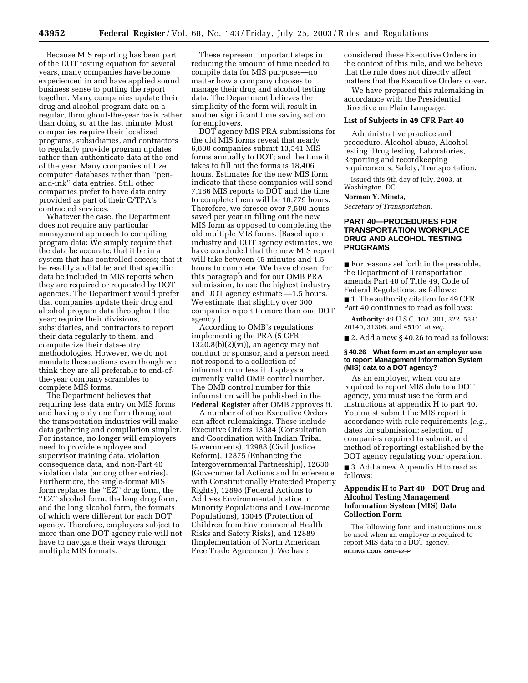Because MIS reporting has been part of the DOT testing equation for several years, many companies have become experienced in and have applied sound business sense to putting the report together. Many companies update their drug and alcohol program data on a regular, throughout-the-year basis rather than doing so at the last minute. Most companies require their localized programs, subsidiaries, and contractors to regularly provide program updates rather than authenticate data at the end of the year. Many companies utilize computer databases rather than ''penand-ink'' data entries. Still other companies prefer to have data entry provided as part of their C/TPA's contracted services.

Whatever the case, the Department does not require any particular management approach to compiling program data: We simply require that the data be accurate; that it be in a system that has controlled access; that it be readily auditable; and that specific data be included in MIS reports when they are required or requested by DOT agencies. The Department would prefer that companies update their drug and alcohol program data throughout the year; require their divisions, subsidiaries, and contractors to report their data regularly to them; and computerize their data-entry methodologies. However, we do not mandate these actions even though we think they are all preferable to end-ofthe-year company scrambles to complete MIS forms.

The Department believes that requiring less data entry on MIS forms and having only one form throughout the transportation industries will make data gathering and compilation simpler. For instance, no longer will employers need to provide employee and supervisor training data, violation consequence data, and non-Part 40 violation data (among other entries). Furthermore, the single-format MIS form replaces the ''EZ'' drug form, the ''EZ'' alcohol form, the long drug form, and the long alcohol form, the formats of which were different for each DOT agency. Therefore, employers subject to more than one DOT agency rule will not have to navigate their ways through multiple MIS formats.

These represent important steps in reducing the amount of time needed to compile data for MIS purposes—no matter how a company chooses to manage their drug and alcohol testing data. The Department believes the simplicity of the form will result in another significant time saving action for employers.

DOT agency MIS PRA submissions for the old MIS forms reveal that nearly 6,800 companies submit 13,541 MIS forms annually to DOT; and the time it takes to fill out the forms is 18,406 hours. Estimates for the new MIS form indicate that these companies will send 7,186 MIS reports to DOT and the time to complete them will be 10,779 hours. Therefore, we foresee over 7,500 hours saved per year in filling out the new MIS form as opposed to completing the old multiple MIS forms. [Based upon industry and DOT agency estimates, we have concluded that the new MIS report will take between 45 minutes and 1.5 hours to complete. We have chosen, for this paragraph and for our OMB PRA submission, to use the highest industry and DOT agency estimate —1.5 hours. We estimate that slightly over 300 companies report to more than one DOT agency.]

According to OMB's regulations implementing the PRA (5 CFR  $1320.8(b)(2)(vi)$ , an agency may not conduct or sponsor, and a person need not respond to a collection of information unless it displays a currently valid OMB control number. The OMB control number for this information will be published in the **Federal Register** after OMB approves it.

A number of other Executive Orders can affect rulemakings. These include Executive Orders 13084 (Consultation and Coordination with Indian Tribal Governments), 12988 (Civil Justice Reform), 12875 (Enhancing the Intergovernmental Partnership), 12630 (Governmental Actions and Interference with Constitutionally Protected Property Rights), 12898 (Federal Actions to Address Environmental Justice in Minority Populations and Low-Income Populations), 13045 (Protection of Children from Environmental Health Risks and Safety Risks), and 12889 (Implementation of North American Free Trade Agreement). We have

considered these Executive Orders in the context of this rule, and we believe that the rule does not directly affect matters that the Executive Orders cover.

We have prepared this rulemaking in accordance with the Presidential Directive on Plain Language.

### **List of Subjects in 49 CFR Part 40**

Administrative practice and procedure, Alcohol abuse, Alcohol testing, Drug testing, Laboratories, Reporting and recordkeeping requirements, Safety, Transportation.

Issued this 9th day of July, 2003, at Washington, DC.

#### **Norman Y. Mineta,**

*Secretary of Transportation.*

## **PART 40—PROCEDURES FOR TRANSPORTATION WORKPLACE DRUG AND ALCOHOL TESTING PROGRAMS**

■ For reasons set forth in the preamble, the Department of Transportation amends Part 40 of Title 49, Code of Federal Regulations, as follows:

■ 1. The authority citation for 49 CFR Part 40 continues to read as follows:

**Authority:** 49 U.S.C. 102, 301, 322, 5331, 20140, 31306, and 45101 *et seq.*

■ 2. Add a new § 40.26 to read as follows:

#### **§ 40.26 What form must an employer use to report Management Information System (MIS) data to a DOT agency?**

As an employer, when you are required to report MIS data to a DOT agency, you must use the form and instructions at appendix H to part 40. You must submit the MIS report in accordance with rule requirements (*e.g.*, dates for submission; selection of companies required to submit, and method of reporting) established by the DOT agency regulating your operation.

■ 3. Add a new Appendix H to read as follows:

### **Appendix H to Part 40—DOT Drug and Alcohol Testing Management Information System (MIS) Data Collection Form**

The following form and instructions must be used when an employer is required to report MIS data to a DOT agency. **BILLING CODE 4910–62–P**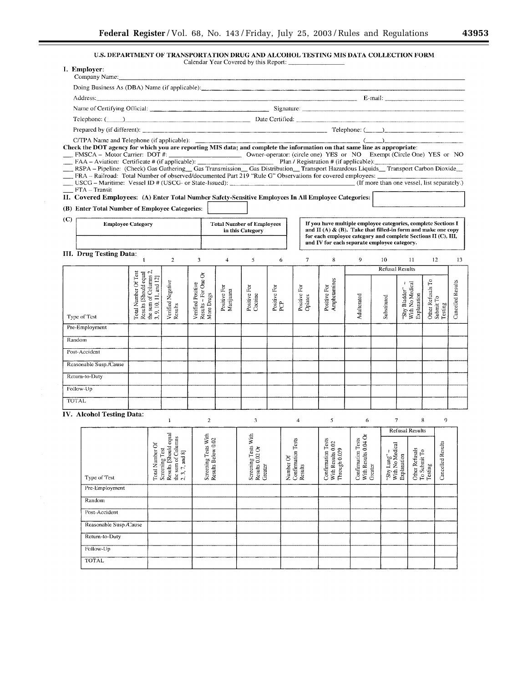| U.S. DEPARTMENT OF TRANSPORTATION DRUG AND ALCOHOL TESTING MIS DATA COLLECTION FORM |
|-------------------------------------------------------------------------------------|
| Colondor Voor Covered by this Donorty                                               |

| I. Employer:                                                                                                                                                                                                                                                                                                                                                                          | Company Name:                                                                                                                                                                       |                                                                                                                                      |                                                                                                                                                                                                                                |                |                                                         |                                                                                                                                                                                                                                           |                                                    | Calendar Year Covered by this Report:                |                   |                                  |                                                                                                              |                                                                                                                                                                                                                                                                                                                                                                    |                                          |                                               |                                       |             |                                |         |                   |
|---------------------------------------------------------------------------------------------------------------------------------------------------------------------------------------------------------------------------------------------------------------------------------------------------------------------------------------------------------------------------------------|-------------------------------------------------------------------------------------------------------------------------------------------------------------------------------------|--------------------------------------------------------------------------------------------------------------------------------------|--------------------------------------------------------------------------------------------------------------------------------------------------------------------------------------------------------------------------------|----------------|---------------------------------------------------------|-------------------------------------------------------------------------------------------------------------------------------------------------------------------------------------------------------------------------------------------|----------------------------------------------------|------------------------------------------------------|-------------------|----------------------------------|--------------------------------------------------------------------------------------------------------------|--------------------------------------------------------------------------------------------------------------------------------------------------------------------------------------------------------------------------------------------------------------------------------------------------------------------------------------------------------------------|------------------------------------------|-----------------------------------------------|---------------------------------------|-------------|--------------------------------|---------|-------------------|
|                                                                                                                                                                                                                                                                                                                                                                                       |                                                                                                                                                                                     |                                                                                                                                      |                                                                                                                                                                                                                                |                |                                                         |                                                                                                                                                                                                                                           |                                                    |                                                      |                   |                                  |                                                                                                              |                                                                                                                                                                                                                                                                                                                                                                    |                                          |                                               |                                       |             |                                |         |                   |
| Address:                                                                                                                                                                                                                                                                                                                                                                              |                                                                                                                                                                                     |                                                                                                                                      |                                                                                                                                                                                                                                |                |                                                         | <u>E-mail:</u> E-mail: <u>Communication of the communication of the communication of the communication of the communication of the communication of the communication of the communication of the communication of the communication </u> |                                                    |                                                      |                   |                                  |                                                                                                              |                                                                                                                                                                                                                                                                                                                                                                    |                                          |                                               |                                       |             |                                |         |                   |
|                                                                                                                                                                                                                                                                                                                                                                                       |                                                                                                                                                                                     |                                                                                                                                      |                                                                                                                                                                                                                                |                |                                                         |                                                                                                                                                                                                                                           |                                                    |                                                      |                   |                                  |                                                                                                              |                                                                                                                                                                                                                                                                                                                                                                    |                                          |                                               |                                       |             |                                |         |                   |
|                                                                                                                                                                                                                                                                                                                                                                                       |                                                                                                                                                                                     |                                                                                                                                      | Telephone: (1) and the contract of the contract of the contract of the contract of the contract of the contract of the contract of the contract of the contract of the contract of the contract of the contract of the contrac |                |                                                         |                                                                                                                                                                                                                                           |                                                    |                                                      |                   |                                  |                                                                                                              |                                                                                                                                                                                                                                                                                                                                                                    |                                          |                                               |                                       |             |                                |         |                   |
|                                                                                                                                                                                                                                                                                                                                                                                       |                                                                                                                                                                                     |                                                                                                                                      |                                                                                                                                                                                                                                |                |                                                         |                                                                                                                                                                                                                                           |                                                    |                                                      |                   |                                  |                                                                                                              |                                                                                                                                                                                                                                                                                                                                                                    |                                          |                                               |                                       |             |                                |         |                   |
| Check the DOT agency for which you are reporting MIS data; and complete the information on that same line as appropriate:<br>___ FRA - Railroad: Total Number of observed/documented Part 219 "Rule G" Observations for covered employees: __________<br>$\_$ FTA $-$ Transit<br>II. Covered Employees: (A) Enter Total Number Safety-Sensitive Employees In All Employee Categories: | C/TPA Name and Telephone (if applicable): _____<br>__ RSPA - Pipeline: (Check) Gas Gathering Gas Transmission Gas Distribution Transport Hazardous Liquids Transport Carbon Dioxide |                                                                                                                                      |                                                                                                                                                                                                                                |                |                                                         |                                                                                                                                                                                                                                           |                                                    |                                                      |                   |                                  |                                                                                                              | $\begin{picture}(150,10) \put(0,0){\vector(1,0){100}} \put(15,0){\vector(1,0){100}} \put(15,0){\vector(1,0){100}} \put(15,0){\vector(1,0){100}} \put(15,0){\vector(1,0){100}} \put(15,0){\vector(1,0){100}} \put(15,0){\vector(1,0){100}} \put(15,0){\vector(1,0){100}} \put(15,0){\vector(1,0){100}} \put(15,0){\vector(1,0){100}} \put(15,0){\vector(1,0){100}}$ |                                          |                                               |                                       |             |                                |         |                   |
| (B) Enter Total Number of Employee Categories:                                                                                                                                                                                                                                                                                                                                        |                                                                                                                                                                                     |                                                                                                                                      |                                                                                                                                                                                                                                |                |                                                         |                                                                                                                                                                                                                                           |                                                    |                                                      |                   |                                  |                                                                                                              |                                                                                                                                                                                                                                                                                                                                                                    |                                          |                                               |                                       |             |                                |         |                   |
| (C)                                                                                                                                                                                                                                                                                                                                                                                   | <b>Employee Category</b>                                                                                                                                                            |                                                                                                                                      |                                                                                                                                                                                                                                |                |                                                         |                                                                                                                                                                                                                                           |                                                    | <b>Total Number of Employees</b><br>in this Category |                   |                                  |                                                                                                              | If you have multiple employee categories, complete Sections I<br>and $\Pi(A) \& B$ . Take that filled-in form and make one copy                                                                                                                                                                                                                                    |                                          |                                               |                                       |             |                                |         |                   |
|                                                                                                                                                                                                                                                                                                                                                                                       |                                                                                                                                                                                     |                                                                                                                                      |                                                                                                                                                                                                                                |                |                                                         |                                                                                                                                                                                                                                           |                                                    |                                                      |                   |                                  | for each employee category and complete Sections II (C), III,<br>and IV for each separate employee category. |                                                                                                                                                                                                                                                                                                                                                                    |                                          |                                               |                                       |             |                                |         |                   |
| <b>III.</b> Drug Testing Data:                                                                                                                                                                                                                                                                                                                                                        |                                                                                                                                                                                     | $\mathbf{1}$                                                                                                                         |                                                                                                                                                                                                                                | $\overline{c}$ | 3                                                       |                                                                                                                                                                                                                                           | 4                                                  | 5                                                    | 6                 |                                  | 7                                                                                                            | 8                                                                                                                                                                                                                                                                                                                                                                  | 9                                        | 10                                            | 11                                    |             | 12                             |         | 13                |
|                                                                                                                                                                                                                                                                                                                                                                                       |                                                                                                                                                                                     |                                                                                                                                      |                                                                                                                                                                                                                                |                |                                                         |                                                                                                                                                                                                                                           |                                                    |                                                      |                   |                                  |                                                                                                              |                                                                                                                                                                                                                                                                                                                                                                    |                                          |                                               | <b>Refusal Results</b>                |             |                                |         |                   |
| Type of Test                                                                                                                                                                                                                                                                                                                                                                          |                                                                                                                                                                                     | Results [Should equal<br>the sum of Columns 2,<br>Total Number Of Test<br>9, 10, 11, and 12]<br>Verified Negative<br>Results         |                                                                                                                                                                                                                                |                | Verified Positive<br>Results ~ For One Or<br>More Drugs |                                                                                                                                                                                                                                           | Positive For<br>Marijuana                          | Positive For<br>Cocaine                              | Positive For<br>Ê |                                  | Positive For<br>Opiates                                                                                      | Amphetamines<br>Positive For                                                                                                                                                                                                                                                                                                                                       | Adulterated                              | Substituted                                   | With No Medical<br>"Shy Bladder"      | Explanation | Other Refusals To<br>Submit To | Testing | Cancelled Results |
| Pre-Employment                                                                                                                                                                                                                                                                                                                                                                        |                                                                                                                                                                                     |                                                                                                                                      |                                                                                                                                                                                                                                |                |                                                         |                                                                                                                                                                                                                                           |                                                    |                                                      |                   |                                  |                                                                                                              |                                                                                                                                                                                                                                                                                                                                                                    |                                          |                                               |                                       |             |                                |         |                   |
| Random                                                                                                                                                                                                                                                                                                                                                                                |                                                                                                                                                                                     |                                                                                                                                      |                                                                                                                                                                                                                                |                |                                                         |                                                                                                                                                                                                                                           |                                                    |                                                      |                   |                                  |                                                                                                              |                                                                                                                                                                                                                                                                                                                                                                    |                                          |                                               |                                       |             |                                |         |                   |
|                                                                                                                                                                                                                                                                                                                                                                                       |                                                                                                                                                                                     |                                                                                                                                      |                                                                                                                                                                                                                                |                |                                                         |                                                                                                                                                                                                                                           |                                                    |                                                      |                   |                                  |                                                                                                              |                                                                                                                                                                                                                                                                                                                                                                    |                                          |                                               |                                       |             |                                |         |                   |
| Post-Accident                                                                                                                                                                                                                                                                                                                                                                         |                                                                                                                                                                                     |                                                                                                                                      |                                                                                                                                                                                                                                |                |                                                         |                                                                                                                                                                                                                                           |                                                    |                                                      |                   |                                  |                                                                                                              |                                                                                                                                                                                                                                                                                                                                                                    |                                          |                                               |                                       |             |                                |         |                   |
| Reasonable Susp./Cause                                                                                                                                                                                                                                                                                                                                                                |                                                                                                                                                                                     |                                                                                                                                      |                                                                                                                                                                                                                                |                |                                                         |                                                                                                                                                                                                                                           |                                                    |                                                      |                   |                                  |                                                                                                              |                                                                                                                                                                                                                                                                                                                                                                    |                                          |                                               |                                       |             |                                |         |                   |
| Return-to-Duty                                                                                                                                                                                                                                                                                                                                                                        |                                                                                                                                                                                     |                                                                                                                                      |                                                                                                                                                                                                                                |                |                                                         |                                                                                                                                                                                                                                           |                                                    |                                                      |                   |                                  |                                                                                                              |                                                                                                                                                                                                                                                                                                                                                                    |                                          |                                               |                                       |             |                                |         |                   |
| Follow-Up                                                                                                                                                                                                                                                                                                                                                                             |                                                                                                                                                                                     |                                                                                                                                      |                                                                                                                                                                                                                                |                |                                                         |                                                                                                                                                                                                                                           |                                                    |                                                      |                   |                                  |                                                                                                              |                                                                                                                                                                                                                                                                                                                                                                    |                                          |                                               |                                       |             |                                |         |                   |
| <b>TOTAL</b>                                                                                                                                                                                                                                                                                                                                                                          |                                                                                                                                                                                     |                                                                                                                                      |                                                                                                                                                                                                                                |                |                                                         |                                                                                                                                                                                                                                           |                                                    |                                                      |                   |                                  |                                                                                                              |                                                                                                                                                                                                                                                                                                                                                                    |                                          |                                               |                                       |             |                                |         |                   |
| <b>IV.</b> Alcohol Testing Data:                                                                                                                                                                                                                                                                                                                                                      |                                                                                                                                                                                     |                                                                                                                                      |                                                                                                                                                                                                                                | $\mathbf{1}$   |                                                         | $\mathbf{2}$                                                                                                                                                                                                                              |                                                    | 3                                                    |                   |                                  | $\overline{4}$                                                                                               | 5                                                                                                                                                                                                                                                                                                                                                                  | 6                                        |                                               | 7                                     | 8           |                                | 9       |                   |
|                                                                                                                                                                                                                                                                                                                                                                                       | Type of Test<br>Pre-Employment                                                                                                                                                      | equal<br>lumns<br>ð<br>$\overline{a}$<br>Screening Test<br>Total Number<br>Results [Shoul<br>the sum of Colu<br>$2, 3, 7,$ and $8$ ] |                                                                                                                                                                                                                                |                | Screening Tests With<br>Results Below 0.02              |                                                                                                                                                                                                                                           | Screening Tests With<br>Results 0.02 Or<br>Greater |                                                      | Number Of         | Tests<br>Confirmation<br>Results |                                                                                                              | $\alpha$<br><b>Tests</b><br>With Results 0<br>Confirmation                                                                                                                                                                                                                                                                                                         | "Shy Lung" ~<br>With No Medic<br>Greater | <b>Refusal Results</b><br>त्नु<br>Explanation | <b>Other Refusals</b><br>To Submit To | Testing     | ults<br>Cancelled Res          |         |                   |
| Random                                                                                                                                                                                                                                                                                                                                                                                |                                                                                                                                                                                     |                                                                                                                                      |                                                                                                                                                                                                                                |                |                                                         |                                                                                                                                                                                                                                           |                                                    |                                                      |                   |                                  |                                                                                                              |                                                                                                                                                                                                                                                                                                                                                                    |                                          |                                               |                                       |             |                                |         |                   |
|                                                                                                                                                                                                                                                                                                                                                                                       | Post-Accident                                                                                                                                                                       |                                                                                                                                      |                                                                                                                                                                                                                                |                |                                                         |                                                                                                                                                                                                                                           |                                                    |                                                      |                   |                                  |                                                                                                              |                                                                                                                                                                                                                                                                                                                                                                    |                                          |                                               |                                       |             |                                |         |                   |
| Reasonable Susp./Cause<br>Return-to-Duty                                                                                                                                                                                                                                                                                                                                              |                                                                                                                                                                                     |                                                                                                                                      |                                                                                                                                                                                                                                |                |                                                         |                                                                                                                                                                                                                                           |                                                    |                                                      |                   |                                  |                                                                                                              |                                                                                                                                                                                                                                                                                                                                                                    |                                          |                                               |                                       |             |                                |         |                   |
|                                                                                                                                                                                                                                                                                                                                                                                       |                                                                                                                                                                                     |                                                                                                                                      |                                                                                                                                                                                                                                |                |                                                         |                                                                                                                                                                                                                                           |                                                    |                                                      |                   |                                  |                                                                                                              |                                                                                                                                                                                                                                                                                                                                                                    |                                          |                                               |                                       |             |                                |         |                   |
|                                                                                                                                                                                                                                                                                                                                                                                       | Follow-Up                                                                                                                                                                           |                                                                                                                                      |                                                                                                                                                                                                                                |                |                                                         |                                                                                                                                                                                                                                           |                                                    |                                                      |                   |                                  |                                                                                                              |                                                                                                                                                                                                                                                                                                                                                                    |                                          |                                               |                                       |             |                                |         |                   |
| TOTAL                                                                                                                                                                                                                                                                                                                                                                                 |                                                                                                                                                                                     |                                                                                                                                      |                                                                                                                                                                                                                                |                |                                                         |                                                                                                                                                                                                                                           |                                                    |                                                      |                   |                                  |                                                                                                              |                                                                                                                                                                                                                                                                                                                                                                    |                                          |                                               |                                       |             |                                |         |                   |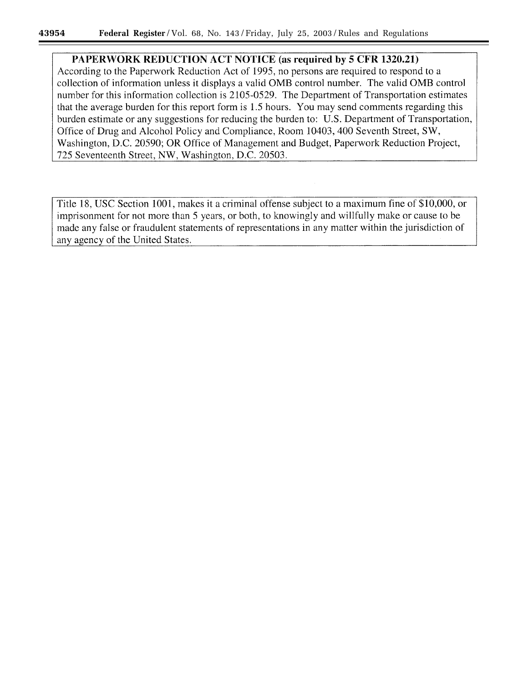# PAPERWORK REDUCTION ACT NOTICE (as required by 5 CFR 1320.21)

According to the Paperwork Reduction Act of 1995, no persons are required to respond to a collection of information unless it displays a valid OMB control number. The valid OMB control number for this information collection is 2105-0529. The Department of Transportation estimates that the average burden for this report form is 1.5 hours. You may send comments regarding this burden estimate or any suggestions for reducing the burden to: U.S. Department of Transportation, Office of Drug and Alcohol Policy and Compliance, Room 10403, 400 Seventh Street, SW, Washington, D.C. 20590; OR Office of Management and Budget, Paperwork Reduction Project, 725 Seventeenth Street, NW, Washington, D.C. 20503.

Title 18, USC Section 1001, makes it a criminal offense subject to a maximum fine of \$10,000, or imprisonment for not more than 5 years, or both, to knowingly and willfully make or cause to be made any false or fraudulent statements of representations in any matter within the jurisdiction of any agency of the United States.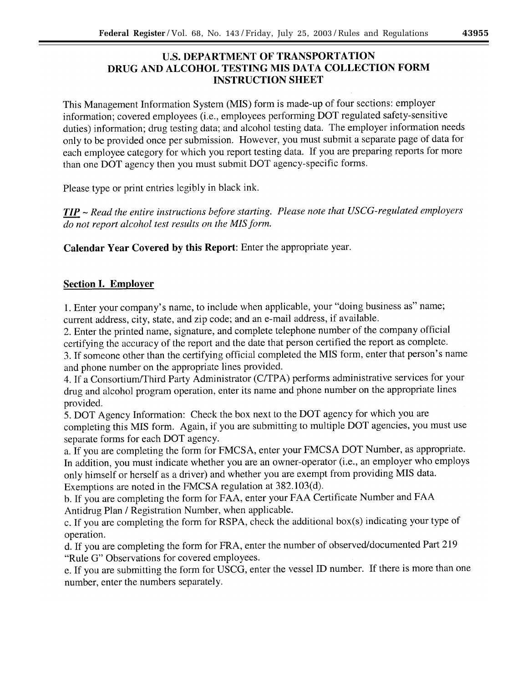# **U.S. DEPARTMENT OF TRANSPORTATION** DRUG AND ALCOHOL TESTING MIS DATA COLLECTION FORM **INSTRUCTION SHEET**

This Management Information System (MIS) form is made-up of four sections: employer information; covered employees (i.e., employees performing DOT regulated safety-sensitive duties) information; drug testing data; and alcohol testing data. The employer information needs only to be provided once per submission. However, you must submit a separate page of data for each employee category for which you report testing data. If you are preparing reports for more than one DOT agency then you must submit DOT agency-specific forms.

Please type or print entries legibly in black ink.

 $TIP \sim$  Read the entire instructions before starting. Please note that USCG-regulated employers do not report alcohol test results on the MIS form.

**Calendar Year Covered by this Report:** Enter the appropriate year.

# **Section I. Employer**

1. Enter your company's name, to include when applicable, your "doing business as" name; current address, city, state, and zip code; and an e-mail address, if available.

2. Enter the printed name, signature, and complete telephone number of the company official certifying the accuracy of the report and the date that person certified the report as complete. 3. If someone other than the certifying official completed the MIS form, enter that person's name and phone number on the appropriate lines provided.

4. If a Consortium/Third Party Administrator (C/TPA) performs administrative services for your drug and alcohol program operation, enter its name and phone number on the appropriate lines provided.

5. DOT Agency Information: Check the box next to the DOT agency for which you are completing this MIS form. Again, if you are submitting to multiple DOT agencies, you must use separate forms for each DOT agency.

a. If you are completing the form for FMCSA, enter your FMCSA DOT Number, as appropriate. In addition, you must indicate whether you are an owner-operator (i.e., an employer who employs only himself or herself as a driver) and whether you are exempt from providing MIS data. Exemptions are noted in the FMCSA regulation at 382.103(d).

b. If you are completing the form for FAA, enter your FAA Certificate Number and FAA Antidrug Plan / Registration Number, when applicable.

c. If you are completing the form for RSPA, check the additional box(s) indicating your type of operation.

d. If you are completing the form for FRA, enter the number of observed/documented Part 219 "Rule G" Observations for covered employees.

e. If you are submitting the form for USCG, enter the vessel ID number. If there is more than one number, enter the numbers separately.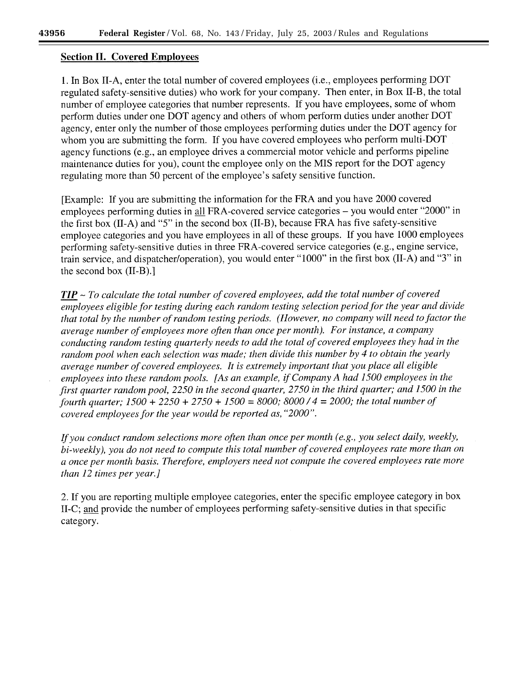# **Section II. Covered Employees**

1. In Box II-A, enter the total number of covered employees (i.e., employees performing DOT regulated safety-sensitive duties) who work for your company. Then enter, in Box II-B, the total number of employee categories that number represents. If you have employees, some of whom perform duties under one DOT agency and others of whom perform duties under another DOT agency, enter only the number of those employees performing duties under the DOT agency for whom you are submitting the form. If you have covered employees who perform multi-DOT agency functions (e.g., an employee drives a commercial motor vehicle and performs pipeline maintenance duties for you), count the employee only on the MIS report for the DOT agency regulating more than 50 percent of the employee's safety sensitive function.

[Example: If you are submitting the information for the FRA and you have 2000 covered employees performing duties in all FRA-covered service categories – you would enter "2000" in the first box (II-A) and "5" in the second box (II-B), because FRA has five safety-sensitive employee categories and you have employees in all of these groups. If you have 1000 employees performing safety-sensitive duties in three FRA-covered service categories (e.g., engine service, train service, and dispatcher/operation), you would enter "1000" in the first box (II-A) and "3" in the second box  $(II-B).$ 

 $TIP \sim To$  calculate the total number of covered employees, add the total number of covered employees eligible for testing during each random testing selection period for the year and divide that total by the number of random testing periods. (However, no company will need to factor the average number of employees more often than once per month). For instance, a company conducting random testing quarterly needs to add the total of covered employees they had in the random pool when each selection was made; then divide this number by 4 to obtain the yearly average number of covered employees. It is extremely important that you place all eligible employees into these random pools. [As an example, if Company A had 1500 employees in the first quarter random pool, 2250 in the second quarter, 2750 in the third quarter; and 1500 in the fourth quarter;  $1500 + 2250 + 2750 + 1500 = 8000$ ;  $8000 / 4 = 2000$ ; the total number of covered employees for the year would be reported as, "2000".

If you conduct random selections more often than once per month (e.g., you select daily, weekly, bi-weekly), you do not need to compute this total number of covered employees rate more than on a once per month basis. Therefore, employers need not compute the covered employees rate more than 12 times per year.]

2. If you are reporting multiple employee categories, enter the specific employee category in box II-C; and provide the number of employees performing safety-sensitive duties in that specific category.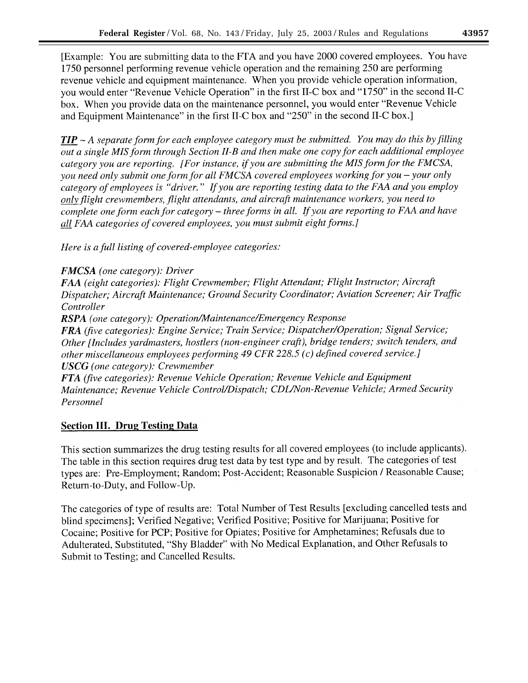[Example: You are submitting data to the FTA and you have 2000 covered employees. You have 1750 personnel performing revenue vehicle operation and the remaining 250 are performing revenue vehicle and equipment maintenance. When you provide vehicle operation information, you would enter "Revenue Vehicle Operation" in the first II-C box and "1750" in the second II-C box. When you provide data on the maintenance personnel, you would enter "Revenue Vehicle" and Equipment Maintenance" in the first II-C box and "250" in the second II-C box.]

**TIP**  $\sim$  A separate form for each employee category must be submitted. You may do this by filling out a single MIS form through Section II-B and then make one copy for each additional employee category you are reporting. [For instance, if you are submitting the MIS form for the FMCSA, you need only submit one form for all FMCSA covered employees working for you - your only category of employees is "driver." If you are reporting testing data to the FAA and you employ only flight crewmembers, flight attendants, and aircraft maintenance workers, you need to complete one form each for category - three forms in all. If you are reporting to FAA and have all FAA categories of covered employees, you must submit eight forms.]

Here is a full listing of covered-employee categories:

# **FMCSA** (one category): Driver

**FAA** (eight categories): Flight Crewmember; Flight Attendant; Flight Instructor; Aircraft Dispatcher; Aircraft Maintenance; Ground Security Coordinator; Aviation Screener; Air Traffic Controller

**RSPA** (one category): Operation/Maintenance/Emergency Response

FRA (five categories): Engine Service; Train Service; Dispatcher/Operation; Signal Service; Other [Includes yardmasters, hostlers (non-engineer craft), bridge tenders; switch tenders, and other miscellaneous employees performing 49 CFR 228.5 (c) defined covered service.] **USCG** (one category): Crewmember

FTA (five categories): Revenue Vehicle Operation; Revenue Vehicle and Equipment Maintenance; Revenue Vehicle Control/Dispatch; CDL/Non-Revenue Vehicle; Armed Security Personnel

# **Section III. Drug Testing Data**

This section summarizes the drug testing results for all covered employees (to include applicants). The table in this section requires drug test data by test type and by result. The categories of test types are: Pre-Employment; Random; Post-Accident; Reasonable Suspicion / Reasonable Cause; Return-to-Duty, and Follow-Up.

The categories of type of results are: Total Number of Test Results [excluding cancelled tests and blind specimens]; Verified Negative; Verified Positive; Positive for Marijuana; Positive for Cocaine; Positive for PCP; Positive for Opiates; Positive for Amphetamines; Refusals due to Adulterated, Substituted, "Shy Bladder" with No Medical Explanation, and Other Refusals to Submit to Testing; and Cancelled Results.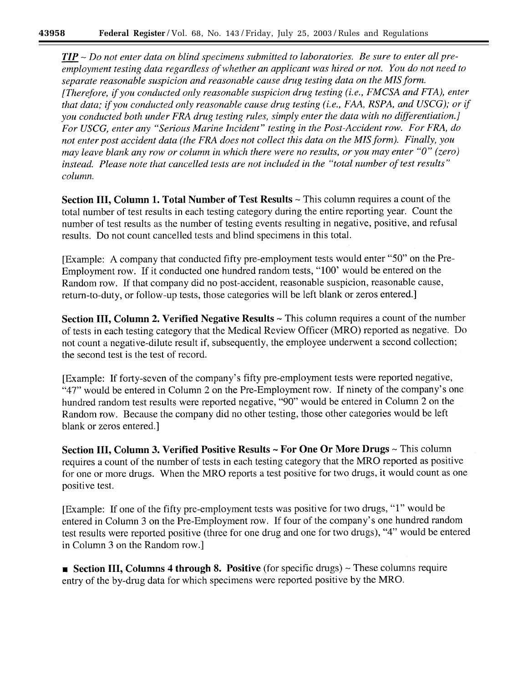$TIP \sim Do$  not enter data on blind specimens submitted to laboratories. Be sure to enter all preemployment testing data regardless of whether an applicant was hired or not. You do not need to separate reasonable suspicion and reasonable cause drug testing data on the MIS form. [Therefore, if you conducted only reasonable suspicion drug testing (i.e., FMCSA and FTA), enter that data; if you conducted only reasonable cause drug testing (i.e., FAA, RSPA, and USCG); or if you conducted both under FRA drug testing rules, simply enter the data with no differentiation.] For USCG, enter any "Serious Marine Incident" testing in the Post-Accident row. For FRA, do not enter post accident data (the FRA does not collect this data on the MIS form). Finally, you may leave blank any row or column in which there were no results, or you may enter "0" (zero) instead. Please note that cancelled tests are not included in the "total number of test results" column.

Section III, Column 1. Total Number of Test Results ~ This column requires a count of the total number of test results in each testing category during the entire reporting year. Count the number of test results as the number of testing events resulting in negative, positive, and refusal results. Do not count cancelled tests and blind specimens in this total.

[Example: A company that conducted fifty pre-employment tests would enter "50" on the Pre-Employment row. If it conducted one hundred random tests, "100' would be entered on the Random row. If that company did no post-accident, reasonable suspicion, reasonable cause, return-to-duty, or follow-up tests, those categories will be left blank or zeros entered.]

Section III, Column 2. Verified Negative Results ~ This column requires a count of the number of tests in each testing category that the Medical Review Officer (MRO) reported as negative. Do not count a negative-dilute result if, subsequently, the employee underwent a second collection; the second test is the test of record.

[Example: If forty-seven of the company's fifty pre-employment tests were reported negative, "47" would be entered in Column 2 on the Pre-Employment row. If ninety of the company's one hundred random test results were reported negative, "90" would be entered in Column 2 on the Random row. Because the company did no other testing, those other categories would be left blank or zeros entered.]

Section III, Column 3. Verified Positive Results ~ For One Or More Drugs ~ This column requires a count of the number of tests in each testing category that the MRO reported as positive for one or more drugs. When the MRO reports a test positive for two drugs, it would count as one positive test.

[Example: If one of the fifty pre-employment tests was positive for two drugs, "1" would be entered in Column 3 on the Pre-Employment row. If four of the company's one hundred random test results were reported positive (three for one drug and one for two drugs), "4" would be entered in Column 3 on the Random row.]

Section III, Columns 4 through 8. Positive (for specific drugs)  $\sim$  These columns require entry of the by-drug data for which specimens were reported positive by the MRO.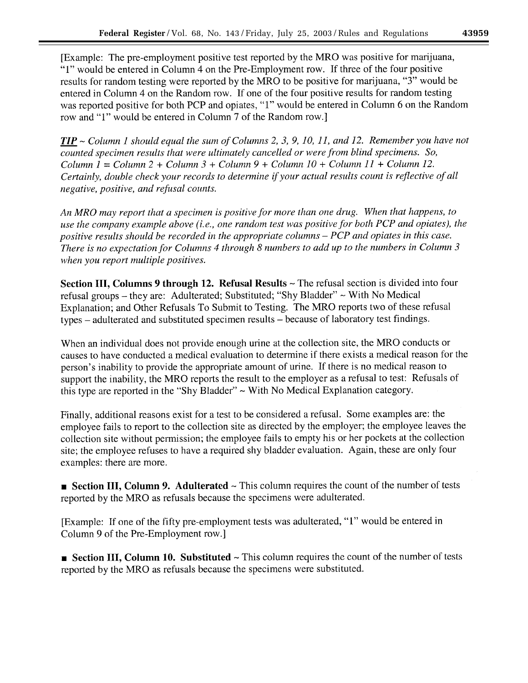[Example: The pre-employment positive test reported by the MRO was positive for marijuana, "I" would be entered in Column 4 on the Pre-Employment row. If three of the four positive results for random testing were reported by the MRO to be positive for marijuana, "3" would be entered in Column 4 on the Random row. If one of the four positive results for random testing was reported positive for both PCP and opiates, "1" would be entered in Column 6 on the Random row and "1" would be entered in Column 7 of the Random row.]

 $TIP \sim$  Column 1 should equal the sum of Columns 2, 3, 9, 10, 11, and 12. Remember you have not counted specimen results that were ultimately cancelled or were from blind specimens. So, Column  $1 = Column 2 + Column 3 + Column 9 + Column 10 + Column 11 + Column 12$ . Certainly, double check your records to determine if your actual results count is reflective of all negative, positive, and refusal counts.

An MRO may report that a specimen is positive for more than one drug. When that happens, to use the company example above (i.e., one random test was positive for both PCP and opiates), the positive results should be recorded in the appropriate columns - PCP and opiates in this case. There is no expectation for Columns 4 through 8 numbers to add up to the numbers in Column 3 when you report multiple positives.

Section III, Columns 9 through 12. Refusal Results ~ The refusal section is divided into four refusal groups – they are: Adulterated; Substituted; "Shy Bladder" ~ With No Medical Explanation; and Other Refusals To Submit to Testing. The MRO reports two of these refusal types – adulterated and substituted specimen results – because of laboratory test findings.

When an individual does not provide enough urine at the collection site, the MRO conducts or causes to have conducted a medical evaluation to determine if there exists a medical reason for the person's inability to provide the appropriate amount of urine. If there is no medical reason to support the inability, the MRO reports the result to the employer as a refusal to test: Refusals of this type are reported in the "Shy Bladder" ~ With No Medical Explanation category.

Finally, additional reasons exist for a test to be considered a refusal. Some examples are: the employee fails to report to the collection site as directed by the employer; the employee leaves the collection site without permission; the employee fails to empty his or her pockets at the collection site; the employee refuses to have a required shy bladder evaluation. Again, these are only four examples: there are more.

**Example 5 Section III, Column 9. Adulterated**  $\sim$  This column requires the count of the number of tests reported by the MRO as refusals because the specimens were adulterated.

[Example: If one of the fifty pre-employment tests was adulterated, "1" would be entered in Column 9 of the Pre-Employment row.]

Section III, Column 10. Substituted  $\sim$  This column requires the count of the number of tests reported by the MRO as refusals because the specimens were substituted.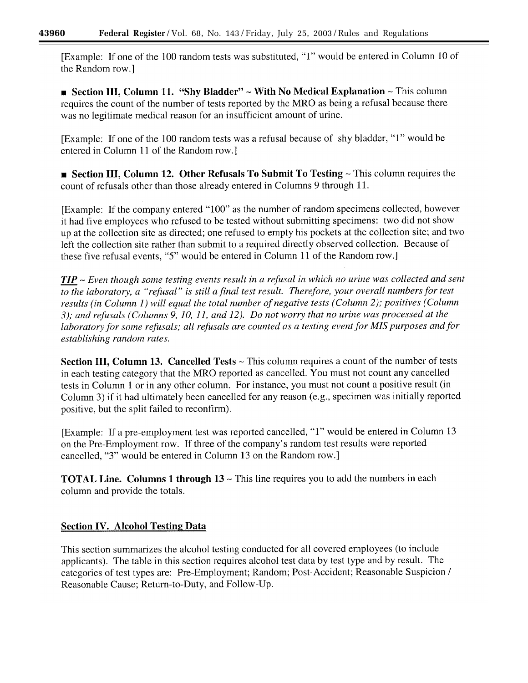[Example: If one of the 100 random tests was substituted, "1" would be entered in Column 10 of the Random row.]

Section III, Column 11. "Shy Bladder" ~ With No Medical Explanation ~ This column requires the count of the number of tests reported by the MRO as being a refusal because there was no legitimate medical reason for an insufficient amount of urine.

[Example: If one of the 100 random tests was a refusal because of shy bladder, "1" would be entered in Column 11 of the Random row.

Section III, Column 12. Other Refusals To Submit To Testing  $\sim$  This column requires the count of refusals other than those already entered in Columns 9 through 11.

[Example: If the company entered "100" as the number of random specimens collected, however it had five employees who refused to be tested without submitting specimens: two did not show up at the collection site as directed; one refused to empty his pockets at the collection site; and two left the collection site rather than submit to a required directly observed collection. Because of these five refusal events, "5" would be entered in Column 11 of the Random row.]

 $TIP \sim$  Even though some testing events result in a refusal in which no urine was collected and sent to the laboratory, a "refusal" is still a final test result. Therefore, your overall numbers for test results (in Column 1) will equal the total number of negative tests (Column 2); positives (Column 3); and refusals (Columns 9, 10, 11, and 12). Do not worry that no urine was processed at the laboratory for some refusals; all refusals are counted as a testing event for MIS purposes and for establishing random rates.

Section III, Column 13. Cancelled Tests ~ This column requires a count of the number of tests in each testing category that the MRO reported as cancelled. You must not count any cancelled tests in Column 1 or in any other column. For instance, you must not count a positive result (in Column 3) if it had ultimately been cancelled for any reason (e.g., specimen was initially reported positive, but the split failed to reconfirm).

[Example: If a pre-employment test was reported cancelled, "1" would be entered in Column 13 on the Pre-Employment row. If three of the company's random test results were reported cancelled, "3" would be entered in Column 13 on the Random row.]

**TOTAL Line.** Columns 1 through  $13 \sim$  This line requires you to add the numbers in each column and provide the totals.

# **Section IV. Alcohol Testing Data**

This section summarizes the alcohol testing conducted for all covered employees (to include applicants). The table in this section requires alcohol test data by test type and by result. The categories of test types are: Pre-Employment; Random; Post-Accident; Reasonable Suspicion / Reasonable Cause; Return-to-Duty, and Follow-Up.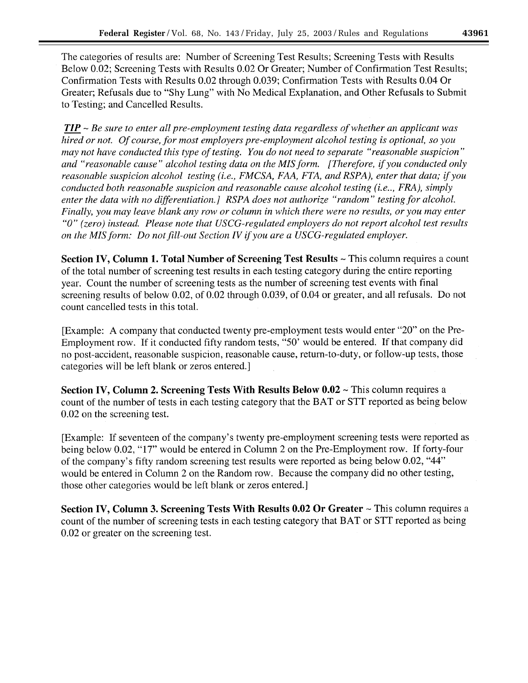The categories of results are: Number of Screening Test Results; Screening Tests with Results Below 0.02; Screening Tests with Results 0.02 Or Greater; Number of Confirmation Test Results; Confirmation Tests with Results 0.02 through 0.039; Confirmation Tests with Results 0.04 Or Greater; Refusals due to "Shy Lung" with No Medical Explanation, and Other Refusals to Submit to Testing; and Cancelled Results.

 $TIP \sim Be$  sure to enter all pre-employment testing data regardless of whether an applicant was hired or not. Of course, for most employers pre-employment alcohol testing is optional, so you may not have conducted this type of testing. You do not need to separate "reasonable suspicion" and "reasonable cause" alcohol testing data on the MIS form. [Therefore, if you conducted only reasonable suspicion alcohol testing (i.e., FMCSA, FAA, FTA, and RSPA), enter that data; if you conducted both reasonable suspicion and reasonable cause alcohol testing (i.e.., FRA), simply enter the data with no differentiation.] RSPA does not authorize "random" testing for alcohol. Finally, you may leave blank any row or column in which there were no results, or you may enter "0" (zero) instead. Please note that USCG-regulated employers do not report alcohol test results on the MIS form: Do not fill-out Section IV if you are a USCG-regulated employer.

Section IV, Column 1. Total Number of Screening Test Results ~ This column requires a count of the total number of screening test results in each testing category during the entire reporting year. Count the number of screening tests as the number of screening test events with final screening results of below 0.02, of 0.02 through 0.039, of 0.04 or greater, and all refusals. Do not count cancelled tests in this total.

[Example: A company that conducted twenty pre-employment tests would enter "20" on the Pre-Employment row. If it conducted fifty random tests, "50' would be entered. If that company did no post-accident, reasonable suspicion, reasonable cause, return-to-duty, or follow-up tests, those categories will be left blank or zeros entered.

Section IV, Column 2. Screening Tests With Results Below  $0.02 \sim$  This column requires a count of the number of tests in each testing category that the BAT or STT reported as being below 0.02 on the screening test.

[Example: If seventeen of the company's twenty pre-employment screening tests were reported as being below 0.02, "17" would be entered in Column 2 on the Pre-Employment row. If forty-four of the company's fifty random screening test results were reported as being below 0.02, "44" would be entered in Column 2 on the Random row. Because the company did no other testing, those other categories would be left blank or zeros entered.

Section IV, Column 3. Screening Tests With Results  $0.02$  Or Greater  $\sim$  This column requires a count of the number of screening tests in each testing category that BAT or STT reported as being 0.02 or greater on the screening test.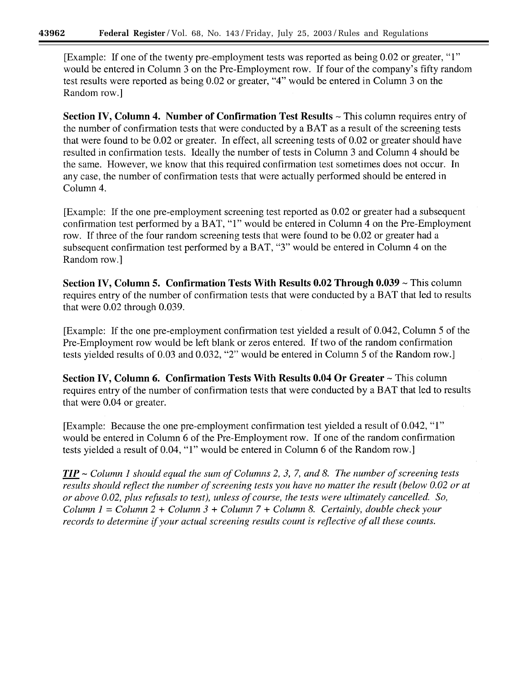[Example: If one of the twenty pre-employment tests was reported as being 0.02 or greater, "1" would be entered in Column 3 on the Pre-Employment row. If four of the company's fifty random test results were reported as being 0.02 or greater, "4" would be entered in Column 3 on the Random row.1

**Section IV, Column 4. Number of Confirmation Test Results**  $\sim$  **This column requires entry of** the number of confirmation tests that were conducted by a BAT as a result of the screening tests that were found to be  $0.02$  or greater. In effect, all screening tests of  $0.02$  or greater should have resulted in confirmation tests. Ideally the number of tests in Column 3 and Column 4 should be the same. However, we know that this required confirmation test sometimes does not occur. In any case, the number of confirmation tests that were actually performed should be entered in Column 4.

[Example: If the one pre-employment screening test reported as 0.02 or greater had a subsequent confirmation test performed by a BAT, "1" would be entered in Column 4 on the Pre-Employment row. If three of the four random screening tests that were found to be 0.02 or greater had a subsequent confirmation test performed by a BAT, "3" would be entered in Column 4 on the Random row.]

Section IV, Column 5. Confirmation Tests With Results 0.02 Through  $0.039 \sim$  This column requires entry of the number of confirmation tests that were conducted by a BAT that led to results that were 0.02 through 0.039.

[Example: If the one pre-employment confirmation test yielded a result of 0.042, Column 5 of the Pre-Employment row would be left blank or zeros entered. If two of the random confirmation tests yielded results of 0.03 and 0.032, "2" would be entered in Column 5 of the Random row.]

Section IV, Column 6. Confirmation Tests With Results 0.04 Or Greater ~ This column requires entry of the number of confirmation tests that were conducted by a BAT that led to results that were 0.04 or greater.

[Example: Because the one pre-employment confirmation test yielded a result of 0.042, "1" would be entered in Column 6 of the Pre-Employment row. If one of the random confirmation tests yielded a result of 0.04, "1" would be entered in Column 6 of the Random row.]

 $TIP \sim$  Column 1 should equal the sum of Columns 2, 3, 7, and 8. The number of screening tests results should reflect the number of screening tests you have no matter the result (below 0.02 or at or above 0.02, plus refusals to test), unless of course, the tests were ultimately cancelled. So, Column  $1 = Column\ 2 + Column\ 3 + Column\ 7 + Column\ 8$ . Certainly, double check your records to determine if your actual screening results count is reflective of all these counts.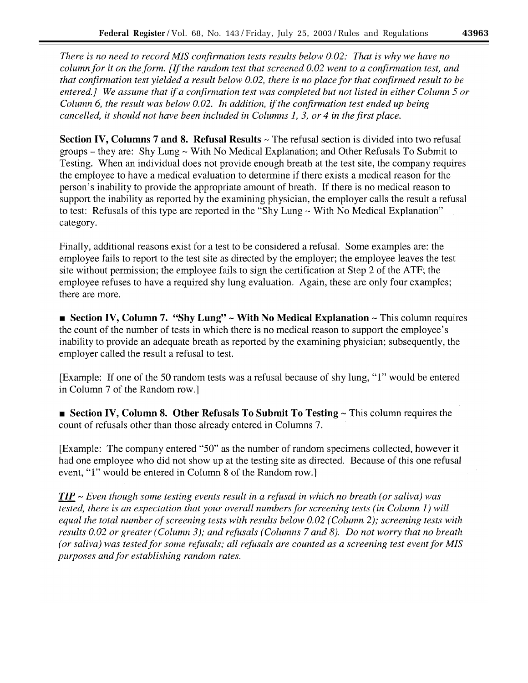There is no need to record MIS confirmation tests results below 0.02: That is why we have no column for it on the form. [If the random test that screened 0.02 went to a confirmation test, and that confirmation test yielded a result below 0.02, there is no place for that confirmed result to be entered.] We assume that if a confirmation test was completed but not listed in either Column 5 or Column 6, the result was below 0.02. In addition, if the confirmation test ended up being cancelled, it should not have been included in Columns 1, 3, or 4 in the first place.

**Section IV, Columns 7 and 8. Refusal Results**  $\sim$  The refusal section is divided into two refusal groups – they are: Shy Lung ~ With No Medical Explanation; and Other Refusals To Submit to Testing. When an individual does not provide enough breath at the test site, the company requires the employee to have a medical evaluation to determine if there exists a medical reason for the person's inability to provide the appropriate amount of breath. If there is no medical reason to support the inability as reported by the examining physician, the employer calls the result a refusal to test: Refusals of this type are reported in the "Shy Lung  $\sim$  With No Medical Explanation" category.

Finally, additional reasons exist for a test to be considered a refusal. Some examples are: the employee fails to report to the test site as directed by the employer; the employee leaves the test site without permission; the employee fails to sign the certification at Step 2 of the ATF; the employee refuses to have a required shy lung evaluation. Again, these are only four examples; there are more.

Section IV, Column 7. "Shy Lung" ~ With No Medical Explanation ~ This column requires the count of the number of tests in which there is no medical reason to support the employee's inability to provide an adequate breath as reported by the examining physician; subsequently, the employer called the result a refusal to test.

[Example: If one of the 50 random tests was a refusal because of shy lung, "1" would be entered in Column 7 of the Random row.]

Section IV, Column 8. Other Refusals To Submit To Testing ~ This column requires the count of refusals other than those already entered in Columns 7.

[Example: The company entered "50" as the number of random specimens collected, however it had one employee who did not show up at the testing site as directed. Because of this one refusal event, "1" would be entered in Column 8 of the Random row.]

 $TIP \sim$  Even though some testing events result in a refusal in which no breath (or saliva) was tested, there is an expectation that your overall numbers for screening tests (in Column 1) will equal the total number of screening tests with results below 0.02 (Column 2); screening tests with results 0.02 or greater (Column 3); and refusals (Columns 7 and 8). Do not worry that no breath (or saliva) was tested for some refusals; all refusals are counted as a screening test event for MIS purposes and for establishing random rates.